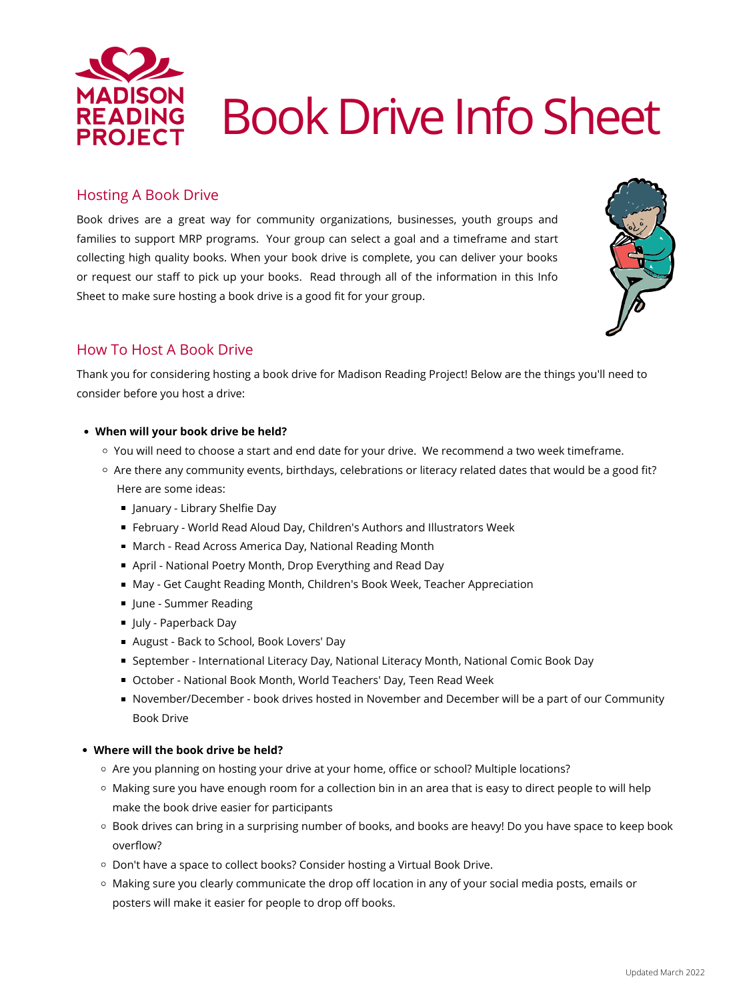## **When will your book drive be held?**

- $\circ$  You will need to choose a start and end date for your drive. We recommend a two week timeframe.
- o Are there any community events, birthdays, celebrations or literacy related dates that would be a good fit? Here are some ideas:
	- January Library Shelfie Day
	- February World Read Aloud Day, Children's Authors and Illustrators Week
	- March Read Across America Day, National Reading Month
	- April National Poetry Month, Drop Everything and Read Day
	- May Get Caught Reading Month, Children's Book Week, Teacher Appreciation
	- **June Summer Reading**
	- July Paperback Day
	- August Back to School, Book Lovers' Day
	- September International Literacy Day, National Literacy Month, National Comic Book Day
	- October National Book Month, World Teachers' Day, Teen Read Week
	- November/December book drives hosted in November and December will be a part of our Community Book Drive

## How To Host A Book Drive

Thank you for considering hosting a book drive for Madison Reading Project! Below are the things you'll need to consider before you host a drive:

## Hosting A Book Drive

Book drives are a great way for community organizations, businesses, youth groups and families to support MRP programs. Your group can select a goal and a timeframe and start collecting high quality books. When your book drive is complete, you can deliver your books or request our staff to pick up your books. Read through all of the information in this Info Sheet to make sure hosting a book drive is a good fit for your group.





#### **Where will the book drive be held?**

- Are you planning on hosting your drive at your home, office or school? Multiple locations?
- Making sure you have enough room for a collection bin in an area that is easy to direct people to will help make the book drive easier for participants
- Book drives can bring in a surprising number of books, and books are heavy! Do you have space to keep book overflow?
- Don't have a space to collect books? Consider hosting a Virtual Book Drive.
- Making sure you clearly communicate the drop off location in any of your social media posts, emails or posters will make it easier for people to drop off books.